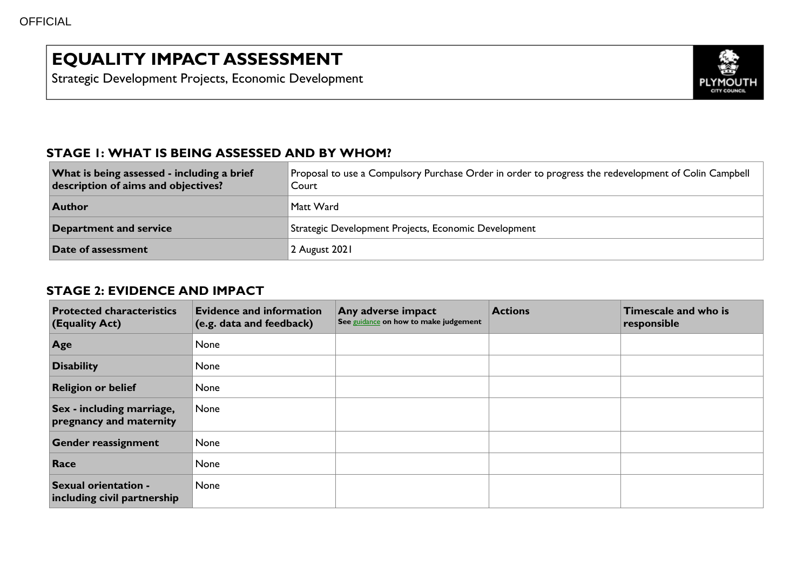# **EQUALITY IMPACT ASSESSMENT**

Strategic Development Projects, Economic Development



#### **STAGE 1: WHAT IS BEING ASSESSED AND BY WHOM?**

| What is being assessed - including a brief<br>description of aims and objectives? | Proposal to use a Compulsory Purchase Order in order to progress the redevelopment of Colin Campbell<br>Court |
|-----------------------------------------------------------------------------------|---------------------------------------------------------------------------------------------------------------|
| <b>Author</b>                                                                     | Matt Ward                                                                                                     |
| Department and service                                                            | Strategic Development Projects, Economic Development                                                          |
| Date of assessment                                                                | 2 August 2021                                                                                                 |

#### **STAGE 2: EVIDENCE AND IMPACT**

| <b>Protected characteristics</b><br><b>(Equality Act)</b> | <b>Evidence and information</b><br>(e.g. data and feedback) | Any adverse impact<br>See guidance on how to make judgement | <b>Actions</b> | <b>Timescale and who is</b><br>responsible |
|-----------------------------------------------------------|-------------------------------------------------------------|-------------------------------------------------------------|----------------|--------------------------------------------|
| Age                                                       | None                                                        |                                                             |                |                                            |
| <b>Disability</b>                                         | None                                                        |                                                             |                |                                            |
| <b>Religion or belief</b>                                 | None                                                        |                                                             |                |                                            |
| Sex - including marriage,<br>pregnancy and maternity      | None                                                        |                                                             |                |                                            |
| <b>Gender reassignment</b>                                | None                                                        |                                                             |                |                                            |
| Race                                                      | None                                                        |                                                             |                |                                            |
| Sexual orientation -<br>including civil partnership       | None                                                        |                                                             |                |                                            |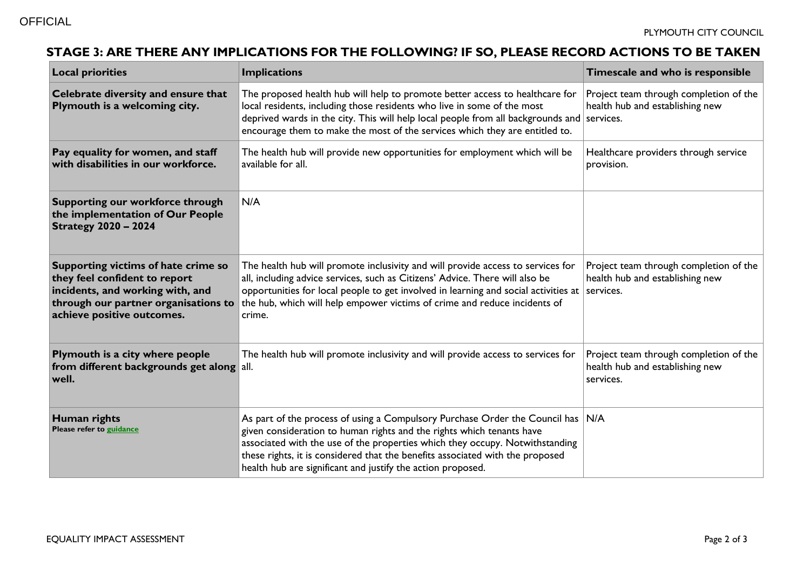## **STAGE 3: ARE THERE ANY IMPLICATIONS FOR THE FOLLOWING? IF SO, PLEASE RECORD ACTIONS TO BE TAKEN**

| <b>Local priorities</b>                                                                                                                                                        | <b>Implications</b>                                                                                                                                                                                                                                                                                                                                                                      | Timescale and who is responsible                                                       |
|--------------------------------------------------------------------------------------------------------------------------------------------------------------------------------|------------------------------------------------------------------------------------------------------------------------------------------------------------------------------------------------------------------------------------------------------------------------------------------------------------------------------------------------------------------------------------------|----------------------------------------------------------------------------------------|
| Celebrate diversity and ensure that<br>Plymouth is a welcoming city.                                                                                                           | The proposed health hub will help to promote better access to healthcare for<br>local residents, including those residents who live in some of the most<br>deprived wards in the city. This will help local people from all backgrounds and services.<br>encourage them to make the most of the services which they are entitled to.                                                     | Project team through completion of the<br>health hub and establishing new              |
| Pay equality for women, and staff<br>with disabilities in our workforce.                                                                                                       | The health hub will provide new opportunities for employment which will be<br>available for all.                                                                                                                                                                                                                                                                                         | Healthcare providers through service<br>provision.                                     |
| Supporting our workforce through<br>the implementation of Our People<br><b>Strategy 2020 - 2024</b>                                                                            | N/A                                                                                                                                                                                                                                                                                                                                                                                      |                                                                                        |
| Supporting victims of hate crime so<br>they feel confident to report<br>incidents, and working with, and<br>through our partner organisations to<br>achieve positive outcomes. | The health hub will promote inclusivity and will provide access to services for<br>all, including advice services, such as Citizens' Advice. There will also be<br>opportunities for local people to get involved in learning and social activities at<br>the hub, which will help empower victims of crime and reduce incidents of<br>crime.                                            | Project team through completion of the<br>health hub and establishing new<br>services. |
| Plymouth is a city where people<br>from different backgrounds get along all.<br>well.                                                                                          | The health hub will promote inclusivity and will provide access to services for                                                                                                                                                                                                                                                                                                          | Project team through completion of the<br>health hub and establishing new<br>services. |
| Human rights<br>Please refer to guidance                                                                                                                                       | As part of the process of using a Compulsory Purchase Order the Council has N/A<br>given consideration to human rights and the rights which tenants have<br>associated with the use of the properties which they occupy. Notwithstanding<br>these rights, it is considered that the benefits associated with the proposed<br>health hub are significant and justify the action proposed. |                                                                                        |